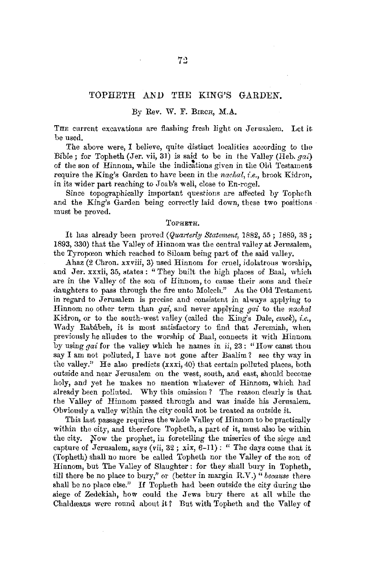#### TOPHETH AND THE KING'S GARDEN.

#### *By* Rev. W. F. BmcR, M.A.

THE current excavations are flashing fresh light on Jerusalem. Let it be used.

The above were, I believe, quite distinct localities according to the Bible; for Topheth (Jer. vii, 31) is said to be in the Valley (Heh. *gai)*  of the son of Hinnom, while the indications given in the Old Testament require the King's Garden to have been in the *nachal, i.e.*, brook Kidron, in its wider part reaching to Joab's well, close to En-rogel.

Since topographically important questions are affected by Topheth and the King's Garden being correctly laid down, these two positions must be proved.

#### TOPHETH.

It has already been proved *(Quarterly Statement,* 1882, 55; 1889, 38; 1893, 330) that the Valley of Hinnom was the central valley at Jernsalem, the Tyropœon which reached to Siloam being part of the said valley.

Ahaz (2 Chron. xxviii, 3) used Hinnom for cruel, idolatrous worship, and Jer. xxxii, 35, states: "They built the high places of Baal, which are *in* the Valley of the son of Hinnom, to cause their sons and their daughters to pass through the fire unto Molech." As the Old Testament in regard to Jerusalem is precise and consistent in al ways applying to Hinnom no other term than *gai,* and never applying *gai* to the *nachal*  Kidron, or to the south-west valley (called the King's Dale, *emek*), *i.e.*, Wady Rababeh, it is most satisfactory to find that Jeremiah, when previously he alludes to the worship of Baal, connects it with Hinnom by using *gai* for the valley which he names in ii, 23 : "How canst thou say I am not polluted, I have not gone after Baalim? see thy way in the valley." He also predicts  $(xxxi, 40)$  that certain polluted places, both outside and near Jerusalem on the west, south, and east, should become holy, and yet he makes no mention whatever of Hinnom, which had already been polluted. Why this omission ? The reason clearly is that the Valley of Hinnom passed through and was inside his Jerusalem. Obviously a valley within the city could not be treated as outside it.

This last passage requires the whole Valley of Hinnom to be practically within the city, and therefore Topheth, a part of it, must also be within the city. Now the prophet, in foretelling the miseries of the siege and capture of Jerusalem, says (vii,  $32$ ; xix,  $6-11$ ): " The days come that it (Topheth) shall no more be called Topheth nor the Valley of the son of Hinnom, but The Valley of Slaughter : for they shall bury in Topheth, till there be no place to bury," or (better in margin R.V.) *"because* there shall be no place else." If Topheth had been outside the city during the siege of Zedekiah, how could the Jews bury there at all while the Chaldwans were round about it? But with Topheth and the Valley of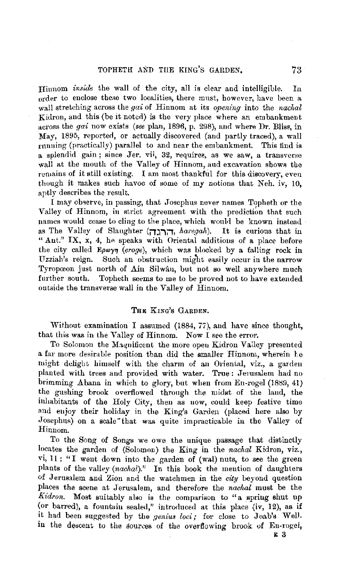### TOPHETH AND THE KING'S GARDEN. 73

Hiunom *inside* the wall of the city, all is clear and intelligible. In order to enclose theae two localities, there must, however, have been a wall stretching across the *gai* of Hinnom at its *opening* into the *nachal* Kidron, and this (be it noted) is the very place where an embankment across the *gai* now exists *(see plan, 1896, p. 298), and where Dr. Bliss, in* May, 1895, reported, or actually discovered (and partly traced), a wall running (practically) parallel to and near the embankment. This find is a splendid gain; since Jer. vii, 32, requiree, as we saw, a transverse wall at the mouth of the Valley of Hinnom, aud excavation shows the remains of it still existing. I am most thankful for this discovery, even though it makes such havoc of some of my notions that Neh. iv, 10, aptly describes the result.

I may obgerve, in passing, that Josephus never names Topheth or the Valley of Hinnom, in strict agreement with the prediction that such names would cease to cling to the place, which would be known instead as The Valley of Slaughter **(iTYi:i,** *ha1·egah).* It is curious that in "Ant." IX,  $x$ , 4, he speaks with Oriental additions of a place before the city called Epwyn (eroge), which was blocked by a falling rock in Uzziah's reign. Such an obstruction might easily occur in the narrow Tyropœon just north of Ain Silwan, but not so well anywhere much further south. Topheth seems to me to be proved not to have extended outside the transverse wall in the Valley of Hinnom.

### **THE** KING'S GARDEN.

Without examination I assumed (1884, 77), and have since thought, that this was in the Valley of Hinnom. Now I see the error.

To Solomon the Magnificent the more open Kidron Valley presented a far more desirnble position than did the smaller Hinnom, wherein Le might delight himself with the charm of an Oriental, viz., a garden planted with trees and provided with water. True : Jerusalem had no brimming Abana in which to glory, but when from En-rogel  $(1889, 41)$ the gushing brook overflowed throngh the midst of the land, the inhabitants of the Holy City, then as uow, could keep festive time and enjoy their holiday in the King's Garden (placed here also by Josephus) on a scale "that was quite impracticable in the Valley of Hinnom.

To the Song of Songs we owe the unique passage that distinctly locates the garden of (Solomon) the King in the *nachal* Kidron, viz., vi, 11 : "I went down into the garden of (wal) nuts, to see the green plants of the valley *(nachal).''* In this book the mention of daughters of Jerusalem and Zion and the watchmen in the *city* beyond question places the scene at Jerusalem, and therefore the *nachal* must be the *Kidron.* Most suitably also is the comparison to "a spring shut up (or barred), a fountain sealed," introduced at this place (iv, 12), as if it had been suggested by the *genius loci;* for close to Joab's Well. in the descent to the sources of the overflowing brook of En-rogel,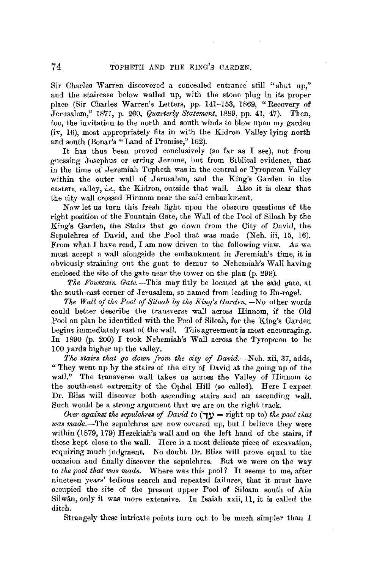Sir Charles Warren discovered a concealed entrance still "shut up." and the staircase below walled up, with the stone plug in its proper place (Sir Charles Warren's Letters, pp. 141-153, 1869, "Recovery of Jerusalem." 1871. p. 260. *Quarterly Statement*, 1889. pp. 41. 47). Then. Jerusalem," 1871, p. 260, *Quarterly Statement*, 1889, pp. 41, 47). too, the invitation to the north and south winds to blow upon my garden (iv, 16), most appropriately fits in with the Kidron Valley lying north and south (Ronar's "Land of Promise," 162).

It has thus been proved conclusively (so far as I see), not from guessing Josephus or erring Jerome, but from Biblical evidence, that in the time of Jeremiah Topheth was in the central or Tyropceon Valley within the outer wall of Jerusalem, and the King's Garden in the eastern valley, *i.e.,* the Kidron, outside that wall. Also it is clear that the city wall crossed Hinnom near the said embankment.

Now let us turn this fresh light upon the obscure questions of the right position of the Fountain Gate, the Wall of the Pool of Siloah by the King's Garden, the Stairs that go down from the City of David, the Sepulchres of David, and the Pool that was made (Neh. iii, 15, 16). From what I have read, I am now driven to the following view. As we must accept a wall alongside the embankment in Jeremiah's time, it is obviously straining out the gnat to demur to Nehemiah's Wall having enclosed the site of the gate near the tower on the plan (p. 298).

*The Fountain Gate.--This* may fitly be located at the said gate, at the south-east corner of Jerusalem, so named from leading to En-rogel.

The Wall of the Pool of Siloah by the King's Garden. -No other words could better describe the transverse wall across Hinnom, if the Old Pool on plan be identified with the Pool of Siloah, for the King's Garden begins immediately east of the wall. This agreement is most encouraging. In 1890 (p. 200) I took Nehemiah's Wall across the Tyropceon to be 100 yards higher up the valley.

*The stairs that go down from the city of David.-Neh.* xii, 37, adds, "They went up by the stairs of the city of David at the going up of the wall." The transverse wall takes us across the Valley of Hinnom to the south-east extremity of the Ophel Hill (so called). Here I expect Dr. Bliss will discover both ascending stairs aud an ascending wall. Such would be a strong argument that we are on the right track.

*Over against the sepulchres of David to*  $(\exists y =$  right up to) *the pool that* was made.-The sepulchres are now covered up, but I believe they were within (1879, 179) Hezekiah's wall and on the left hand of the stairs, if these kept close to the wall. Here is a most delicate piece of excavation, requiring much jndgment. No doubt Dr. Bliss will prove equal to the occasion and finally discover the sepulchres. Rut we were on the way to *the pool that was made.* Where was this pool *1* It seems to me, after nineteen years' tedious search and repeated failures, that it must have occupied the site of the present upper Pool of Siloam south of **Aiu**  Sil wan, only it was more extensive. In Isaiah **xxii,** 11, it is called the ditch.

Strangely these intricate points turn out to be much simpler than I